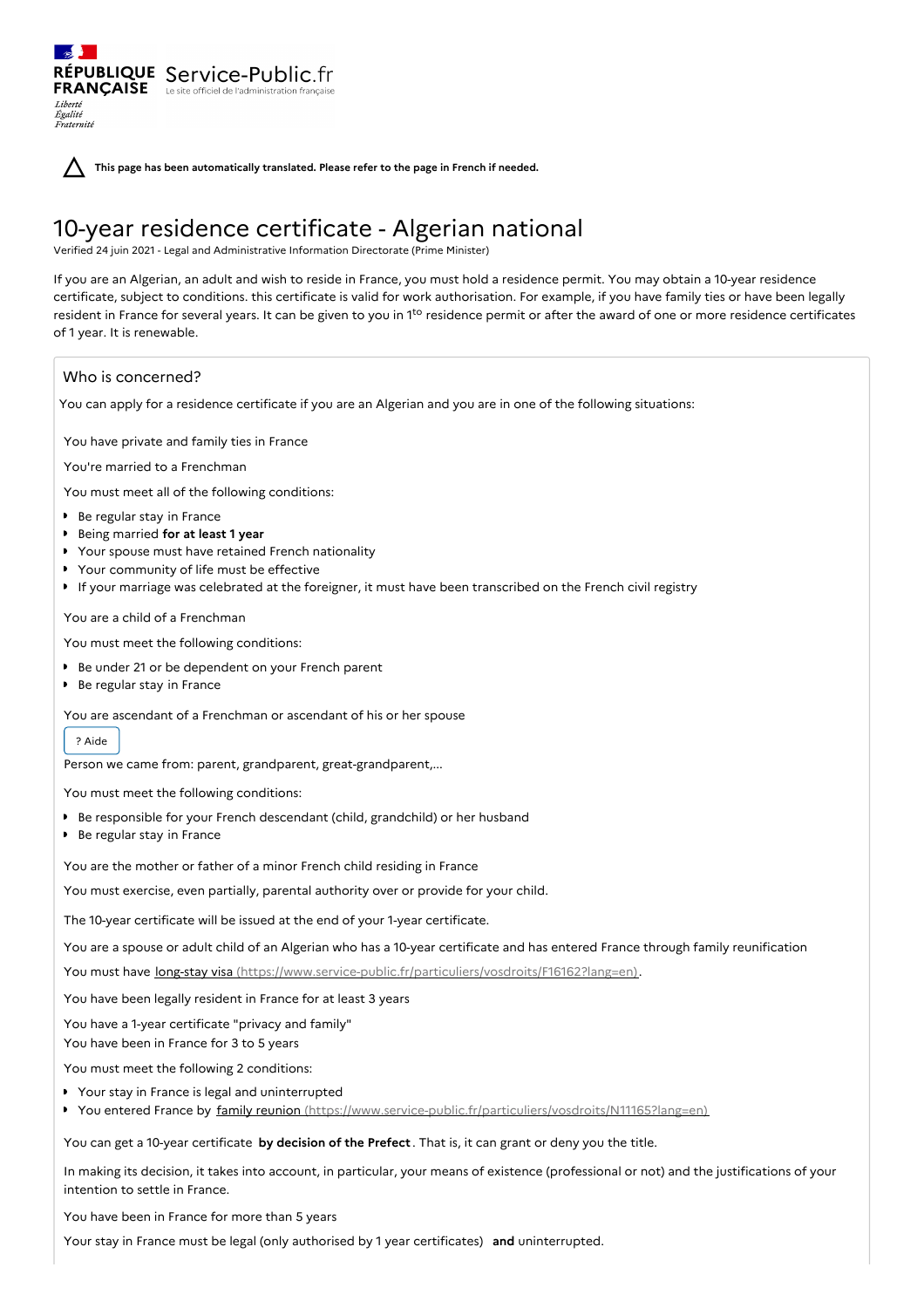**This page has been automatically translated. Please refer to the page in French if needed.**

# 10-year residence certificate - Algerian national

Verified 24 juin 2021 - Legal and Administrative Information Directorate (Prime Minister)

If you are an Algerian, an adult and wish to reside in France, you must hold a residence permit. You may obtain a 10-year residence certificate, subject to conditions. this certificate is valid for work authorisation. For example, if you have family ties or have been legally resident in France for several years. It can be given to you in 1<sup>to</sup> residence permit or after the award of one or more residence certificates of 1 year. It is renewable.

# Who is concerned?

Liberté Égalité<br>Fraternité

You can apply for a residence certificate if you are an Algerian and you are in one of the following situations:

You have private and family ties in France

RÉPUBLIQUE Service-Public.fr **FRANÇAISE** Le site officiel de l'administration fran

You're married to a Frenchman

You must meet all of the following conditions:

- Be regular stay in France
- Being married **for at least 1 year**
- Your spouse must have retained French nationality
- Your community of life must be effective
- If your marriage was celebrated at the foreigner, it must have been transcribed on the French civil registry

You are a child of a Frenchman

You must meet the following conditions:

- Be under 21 or be dependent on your French parent
- Be regular stay in France

You are ascendant of a Frenchman or ascendant of his or her spouse

## ? Aide

Person we came from: parent, grandparent, great-grandparent,...

You must meet the following conditions:

- Be responsible for your French descendant (child, grandchild) or her husband
- Be regular stay in France

You are the mother or father of a minor French child residing in France

You must exercise, even partially, parental authority over or provide for your child.

The 10-year certificate will be issued at the end of your 1-year certificate.

You are a spouse or adult child of an Algerian who has a 10-year certificate and has entered France through family reunification

You must have long-stay visa [\(https://www.service-public.fr/particuliers/vosdroits/F16162?lang=en\)](https://www.service-public.fr/particuliers/vosdroits/F16162?lang=en).

You have been legally resident in France for at least 3 years

You have a 1-year certificate "privacy and family"

You have been in France for 3 to 5 years

You must meet the following 2 conditions:

■ Your stay in France is legal and uninterrupted

▶ You entered France by family reunion [\(https://www.service-public.fr/particuliers/vosdroits/N11165?lang=en\)](https://www.service-public.fr/particuliers/vosdroits/N11165?lang=en)

You can get a 10-year certificate **by decision of the Prefect** . That is, it can grant or deny you the title.

In making its decision, it takes into account, in particular, your means of existence (professional or not) and the justifications of your intention to settle in France.

You have been in France for more than 5 years

Your stay in France must be legal (only authorised by 1 year certificates) **and** uninterrupted.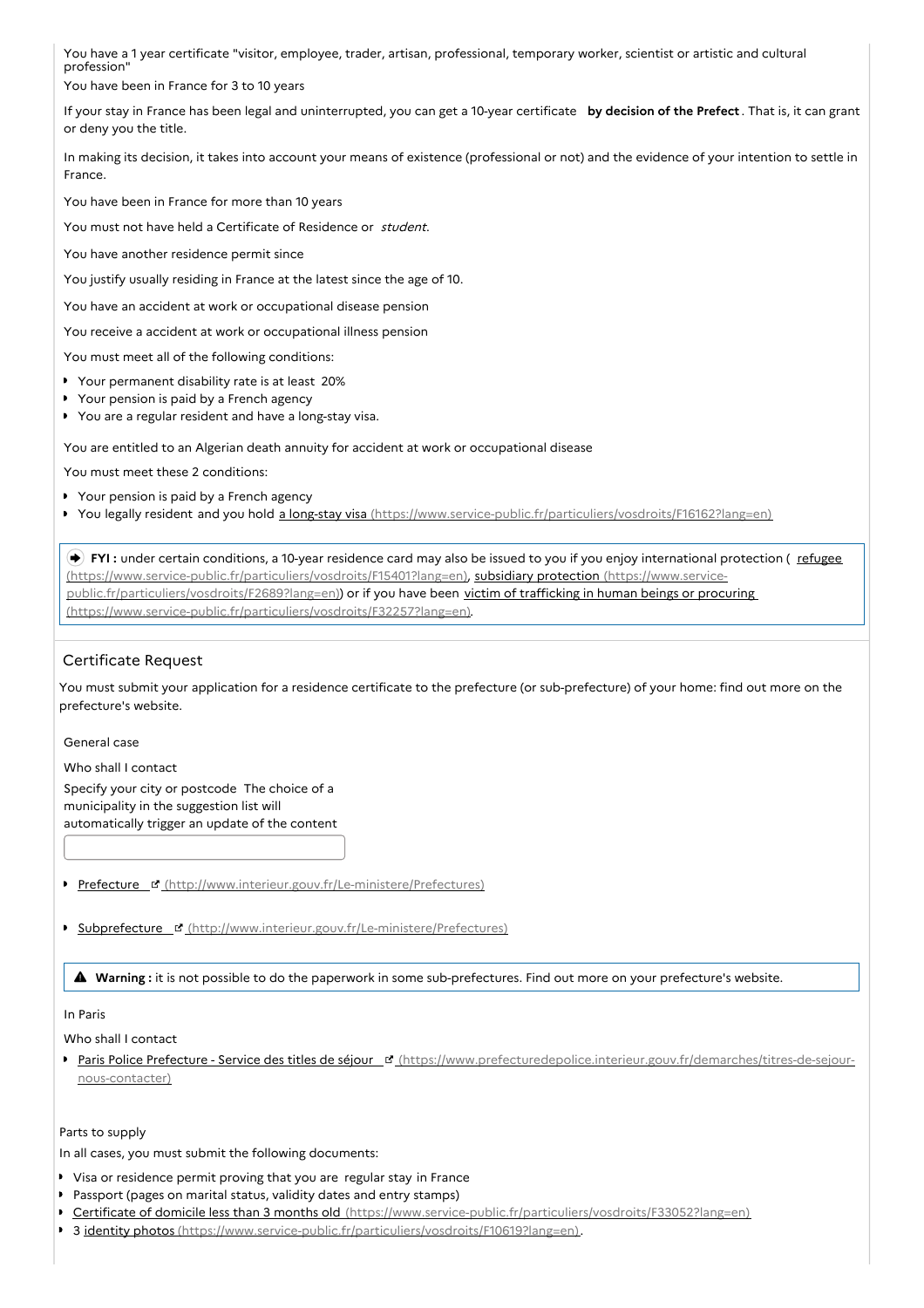You have a 1 year certificate "visitor, employee, trader, artisan, professional, temporary worker, scientist or artistic and cultural profession"

You have been in France for 3 to 10 years

If your stay in France has been legal and uninterrupted, you can get a 10-year certificate **by decision of the Prefect** . That is, it can grant or deny you the title.

In making its decision, it takes into account your means of existence (professional or not) and the evidence of your intention to settle in France.

You have been in France for more than 10 years

You must not have held a Certificate of Residence or student.

You have another residence permit since

You justify usually residing in France at the latest since the age of 10.

You have an accident at work or occupational disease pension

You receive a accident at work or occupational illness pension

You must meet all of the following conditions:

- Your permanent disability rate is at least 20%
- Your pension is paid by a French agency
- You are a regular resident and have a long-stay visa.

You are entitled to an Algerian death annuity for accident at work or occupational disease

You must meet these 2 conditions:

- Your pension is paid by a French agency
- You legally resident and you hold a long-stay visa [\(https://www.service-public.fr/particuliers/vosdroits/F16162?lang=en\)](https://www.service-public.fr/particuliers/vosdroits/F16162?lang=en)  $\blacktriangleright$

**FYI**: under certain conditions, a 10-year residence card may also be issued to you if you enjoy international protection (*refugee*) [\(https://www.service-public.fr/particuliers/vosdroits/F15401?lang=en\),](https://www.service-public.fr/particuliers/vosdroits/F2689?lang=en) subsidiary protection (https://www.servicepublic.fr/particuliers/vosdroits/F2689?lang=en)) or if you have been victim of trafficking in human beings or procuring [\(https://www.service-public.fr/particuliers/vosdroits/F32257?lang=en\).](https://www.service-public.fr/particuliers/vosdroits/F32257?lang=en)

## Certificate Request

You must submit your application for a residence certificate to the prefecture (or sub-prefecture) of your home: find out more on the prefecture's website.

General case

Who shall I contact Specify your city or postcode The choice of a municipality in the suggestion list will automatically trigger an update of the content

- Prefecture E [\(http://www.interieur.gouv.fr/Le-ministere/Prefectures\)](http://www.interieur.gouv.fr/Le-ministere/Prefectures)
- Subprefecture [\(http://www.interieur.gouv.fr/Le-ministere/Prefectures\)](http://www.interieur.gouv.fr/Le-ministere/Prefectures)

**Warning :** it is not possible to do the paperwork in some sub-prefectures. Find out more on your prefecture's website.

#### In Paris

Who shall I contact

Paris Police Prefecture - Service des titles de séjour \_ d' [\(https://www.prefecturedepolice.interieur.gouv.fr/demarches/titres-de-sejour](https://www.prefecturedepolice.interieur.gouv.fr/demarches/titres-de-sejour-nous-contacter)nous-contacter)

Parts to supply

In all cases, you must submit the following documents:

- Visa or residence permit proving that you are regular stay in France
- Passport (pages on marital status, validity dates and entry stamps)
- Certificate of domicile less than 3 months old [\(https://www.service-public.fr/particuliers/vosdroits/F33052?lang=en\)](https://www.service-public.fr/particuliers/vosdroits/F33052?lang=en)
- 3 *identity photos* [\(https://www.service-public.fr/particuliers/vosdroits/F10619?lang=en\)](https://www.service-public.fr/particuliers/vosdroits/F10619?lang=en).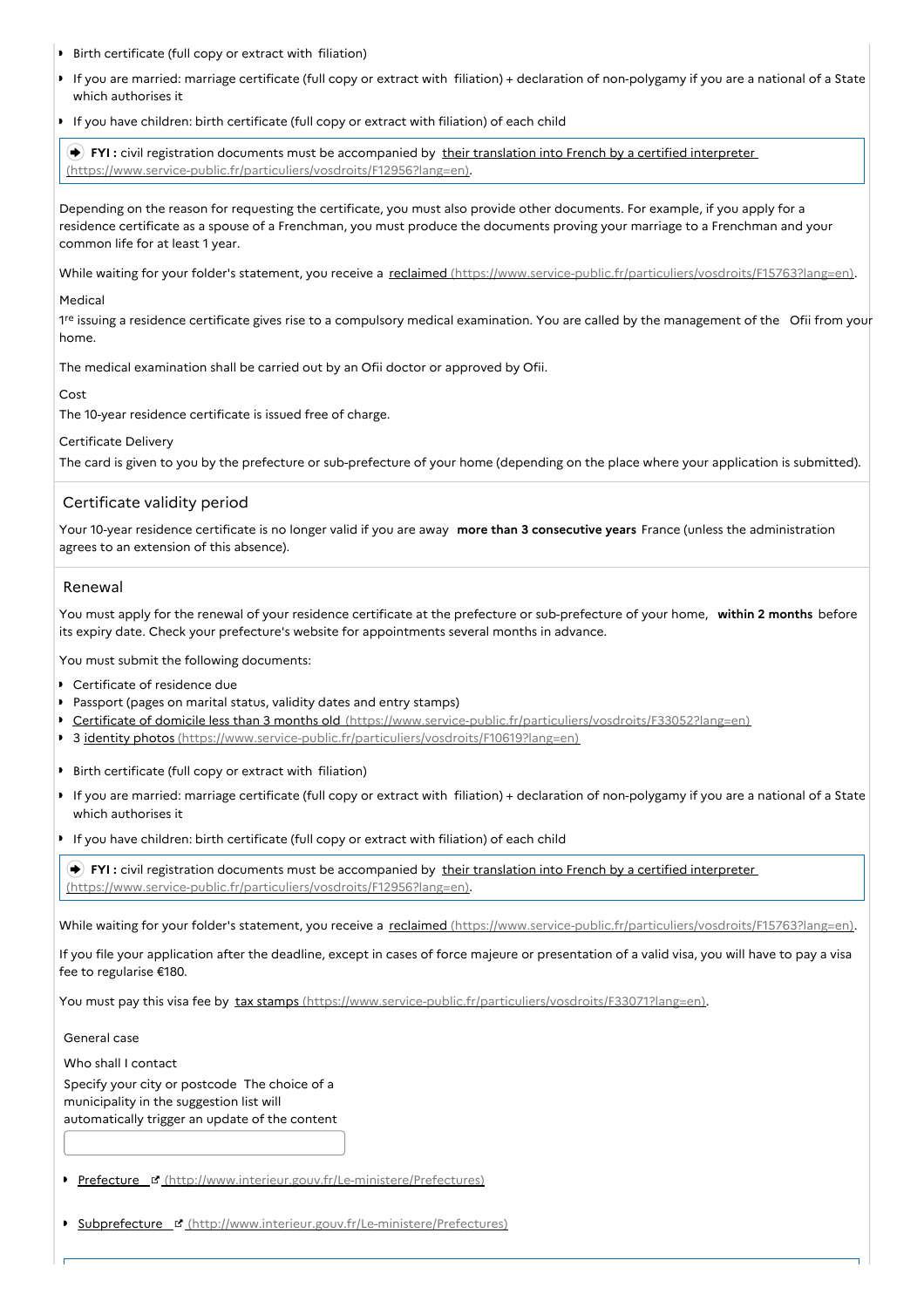- Birth certificate (full copy or extract with filiation) ٠
- If you are married: marriage certificate (full copy or extract with filiation) + declaration of non-polygamy if you are a national of a State which authorises it
- If you have children: birth certificate (full copy or extract with filiation) of each child

**FYI** : civil registration documents must be accompanied by their translation into French by a certified interpreter [\(https://www.service-public.fr/particuliers/vosdroits/F12956?lang=en\).](https://www.service-public.fr/particuliers/vosdroits/F12956?lang=en)

Depending on the reason for requesting the certificate, you must also provide other documents. For example, if you apply for a residence certificate as a spouse of a Frenchman, you must produce the documents proving your marriage to a Frenchman and your common life for at least 1 year.

While waiting for your folder's statement, you receive a reclaimed [\(https://www.service-public.fr/particuliers/vosdroits/F15763?lang=en\)](https://www.service-public.fr/particuliers/vosdroits/F15763?lang=en).

#### Medical

1<sup>re</sup> issuing a residence certificate gives rise to a compulsory medical examination. You are called by the management of the Ofii from your home.

The medical examination shall be carried out by an Ofii doctor or approved by Ofii.

Cost

The 10-year residence certificate is issued free of charge.

#### Certificate Delivery

The card is given to you by the prefecture or sub-prefecture of your home (depending on the place where your application is submitted).

## Certificate validity period

Your 10-year residence certificate is no longer valid if you are away **more than 3 consecutive years** France (unless the administration agrees to an extension of this absence).

## Renewal

You must apply for the renewal of your residence certificate at the prefecture or sub-prefecture of your home, **within 2 months** before its expiry date. Check your prefecture's website for appointments several months in advance.

You must submit the following documents:

- Certificate of residence due
- Passport (pages on marital status, validity dates and entry stamps)
- Certificate of domicile less than 3 months old [\(https://www.service-public.fr/particuliers/vosdroits/F33052?lang=en\)](https://www.service-public.fr/particuliers/vosdroits/F33052?lang=en)
- 3 *identity photos [\(https://www.service-public.fr/particuliers/vosdroits/F10619?lang=en\)](https://www.service-public.fr/particuliers/vosdroits/F10619?lang=en)*
- Birth certificate (full copy or extract with filiation)
- If you are married: marriage certificate (full copy or extract with filiation) + declaration of non-polygamy if you are a national of a State which authorises it
- If you have children: birth certificate (full copy or extract with filiation) of each child

**FYI** : civil registration documents must be accompanied by their translation into French by a certified interpreter [\(https://www.service-public.fr/particuliers/vosdroits/F12956?lang=en\).](https://www.service-public.fr/particuliers/vosdroits/F12956?lang=en)

While waiting for your folder's statement, you receive a reclaimed [\(https://www.service-public.fr/particuliers/vosdroits/F15763?lang=en\)](https://www.service-public.fr/particuliers/vosdroits/F15763?lang=en).

If you file your application after the deadline, except in cases of force majeure or presentation of a valid visa, you will have to pay a visa fee to regularise €180.

You must pay this visa fee by tax stamps [\(https://www.service-public.fr/particuliers/vosdroits/F33071?lang=en\)](https://www.service-public.fr/particuliers/vosdroits/F33071?lang=en).

General case

Who shall I contact

Specify your city or postcode The choice of a municipality in the suggestion list will automatically trigger an update of the content

| Prefecture F (http://www.interieur.gouv.fr/Le-ministere/Prefectures) |  |  |  |  |  |  |
|----------------------------------------------------------------------|--|--|--|--|--|--|
|                                                                      |  |  |  |  |  |  |

Subprefecture [\(http://www.interieur.gouv.fr/Le-ministere/Prefectures\)](http://www.interieur.gouv.fr/Le-ministere/Prefectures)